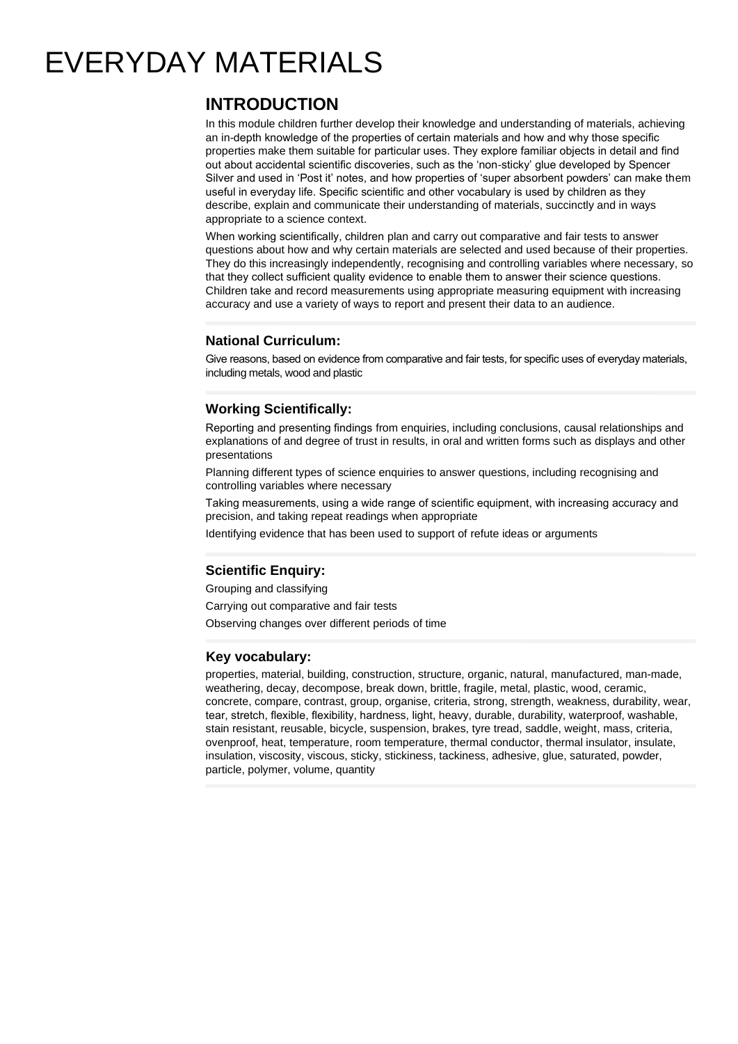# EVERYDAY MATERIALS

# **INTRODUCTION**

In this module children further develop their knowledge and understanding of materials, achieving an in-depth knowledge of the properties of certain materials and how and why those specific properties make them suitable for particular uses. They explore familiar objects in detail and find out about accidental scientific discoveries, such as the 'non-sticky' glue developed by Spencer Silver and used in 'Post it' notes, and how properties of 'super absorbent powders' can make them useful in everyday life. Specific scientific and other vocabulary is used by children as they describe, explain and communicate their understanding of materials, succinctly and in ways appropriate to a science context.

When working scientifically, children plan and carry out comparative and fair tests to answer questions about how and why certain materials are selected and used because of their properties. They do this increasingly independently, recognising and controlling variables where necessary, so that they collect sufficient quality evidence to enable them to answer their science questions. Children take and record measurements using appropriate measuring equipment with increasing accuracy and use a variety of ways to report and present their data to an audience.

# **National Curriculum:**

Give reasons, based on evidence from comparative and fair tests, for specific uses of everyday materials, including metals, wood and plastic

## **Working Scientifically:**

Reporting and presenting findings from enquiries, including conclusions, causal relationships and explanations of and degree of trust in results, in oral and written forms such as displays and other presentations

Planning different types of science enquiries to answer questions, including recognising and controlling variables where necessary

Taking measurements, using a wide range of scientific equipment, with increasing accuracy and precision, and taking repeat readings when appropriate

Identifying evidence that has been used to support of refute ideas or arguments

#### **Scientific Enquiry:**

Grouping and classifying

Carrying out comparative and fair tests

Observing changes over different periods of time

#### **Key vocabulary:**

properties, material, building, construction, structure, organic, natural, manufactured, man-made, weathering, decay, decompose, break down, brittle, fragile, metal, plastic, wood, ceramic, concrete, compare, contrast, group, organise, criteria, strong, strength, weakness, durability, wear, tear, stretch, flexible, flexibility, hardness, light, heavy, durable, durability, waterproof, washable, stain resistant, reusable, bicycle, suspension, brakes, tyre tread, saddle, weight, mass, criteria, ovenproof, heat, temperature, room temperature, thermal conductor, thermal insulator, insulate, insulation, viscosity, viscous, sticky, stickiness, tackiness, adhesive, glue, saturated, powder, particle, polymer, volume, quantity